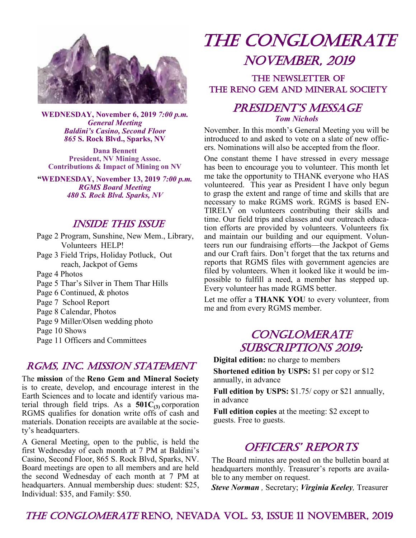

**WEDNESDAY, November 6, 2019** *7:00 p.m. General Meeting Baldini's Casino, Second Floor 865* **S. Rock Blvd., Sparks, NV** 

**Dana Bennett President, NV Mining Assoc. Contributions & Impact of Mining on NV**

**"WEDNESDAY, November 13, 2019** *7:00 p.m. RGMS Board Meeting 480 S. Rock Blvd. Sparks, NV*

#### Inside This Issue

Page 2 Program, Sunshine, New Mem., Library, Volunteers HELP! Page 3 Field Trips, Holiday Potluck, Out reach, Jackpot of Gems

Page 4 Photos

Page 5 Thar's Silver in Them Thar Hills

Page 6 Continued, & photos

- Page 7 School Report
- Page 8 Calendar, Photos
- Page 9 Miller/Olsen wedding photo

Page 10 Shows

Page 11 Officers and Committees

### RGMS, INC. MISSION STATEMENT

The **mission** of the **Reno Gem and Mineral Society**  is to create, develop, and encourage interest in the Earth Sciences and to locate and identify various material through field trips. As a  $501C_{(3)}$  corporation RGMS qualifies for donation write offs of cash and materials. Donation receipts are available at the society's headquarters.

A General Meeting, open to the public, is held the first Wednesday of each month at 7 PM at Baldini's Casino, Second Floor, 865 S. Rock Blvd, Sparks, NV. Board meetings are open to all members and are held the second Wednesday of each month at 7 PM at headquarters. Annual membership dues: student: \$25, Individual: \$35, and Family: \$50.

# The Conglomerate november, 2019

## THE NEWSLETTER OF the Reno Gem and Mineral society

## PRESIDENT'S MESSAGE *Tom Nichols*

November. In this month's General Meeting you will be introduced to and asked to vote on a slate of new officers. Nominations will also be accepted from the floor.

One constant theme I have stressed in every message has been to encourage you to volunteer. This month let me take the opportunity to THANK everyone who HAS volunteered. This year as President I have only begun to grasp the extent and range of time and skills that are necessary to make RGMS work. RGMS is based EN-TIRELY on volunteers contributing their skills and time. Our field trips and classes and our outreach education efforts are provided by volunteers. Volunteers fix and maintain our building and our equipment. Volunteers run our fundraising efforts—the Jackpot of Gems and our Craft fairs. Don't forget that the tax returns and reports that RGMS files with government agencies are filed by volunteers. When it looked like it would be impossible to fulfill a need, a member has stepped up. Every volunteer has made RGMS better.

Let me offer a **THANK YOU** to every volunteer, from me and from every RGMS member.

## **CONGLOMERATE** SUBSCRIPTIONS 2019:

**Digital edition:** no charge to members **Shortened edition by USPS:** \$1 per copy or \$12 annually, in advance

**Full edition by USPS:** \$1.75/ copy or \$21 annually, in advance

**Full edition copies** at the meeting: \$2 except to guests. Free to guests.

## OFFICERS' REPORTS

The Board minutes are posted on the bulletin board at headquarters monthly. Treasurer's reports are available to any member on request.

*Steve Norman ,* Secretary; *Virginia Keeley,* Treasurer

### The Conglomerate reno, Nevada vol. 53, issue 11 november, 2019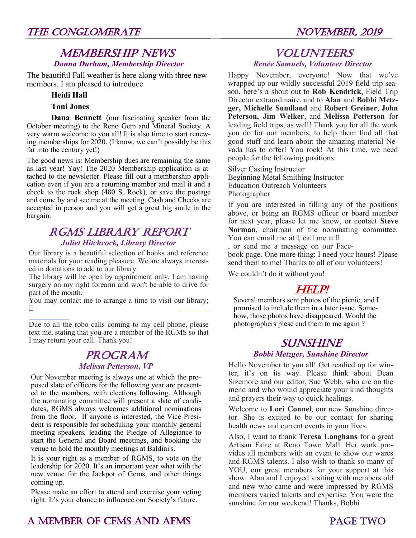### MEMBERSHIP NEWS *Donna Durham, Membership Director*

The beautiful Fall weather is here along with three new members. I am pleased to introduce

#### **Heidi Hall**

#### **Toni Jones**

**Dana Bennett** (our fascinating speaker from the October meeting) to the Reno Gem and Mineral Society. A very warm welcome to you all! It is also time to start renewing memberships for 2020. (I know, we can't possibly be this far into the century yet!)

The good news is: Membership dues are remaining the same as last year! Yay! The 2020 Membership application is attached to the newsletter. Please fill out a membership application even if you are a returning member and mail it and a check to the rock shop (480 S. Rock), or save the postage and come by and see me at the meeting. Cash and Checks are accepted in person and you will get a great big smile in the bargain.

# RGMS Library Report

#### *Juliet Hitchcock, Library Director*

Our library is a beautiful selection of books and reference materials for your reading pleasure. We are always interested in donations to add to our library.

The library will be open by appointment only. I am having surgery on my right forearm and won't be able to drive for part of the month.

You may contact me to arrange a time to visit our library;  $\ddot{ }$ 

Due to all the robo calls coming to my cell phone, please text me, stating that you are a member of the RGMS so that I may return your call. Thank you!

# **PROGRAM**

#### *Melissa Petterson, VP*

Our November meeting is always one at which the proposed slate of officers for the following year are presented to the members, with elections following. Although the nominating committee will present a slate of candidates, RGMS always welcomes additional nominations from the floor. If anyone is interested, the Vice President is responsible for scheduling your monthly general meeting speakers, leading the Pledge of Allegiance to start the General and Board meetings, and booking the venue to hold the monthly meetings at Baldini's.

It is your right as a member of RGMS, to vote on the leadership for 2020. It's an important year what with the new venue for the Jackpot of Gems, and other things coming up.

Please make an effort to attend and exercise your voting right. It's your chance to influence our Society's future.

#### **VOLUNTEERS** *Renée Samuels, Volunteer Director*

Happy November, everyone! Now that we've wrapped up our wildly successful 2019 field trip season, here's a shout out to **Rob Kendrick**, Field Trip Director extraordinaire, and to **Alan** and **Bobbi Metzger, Michelle Sundland** and **Robert Greiner**, **John Peterson, Jim Welker**, and **Melissa Petterson** for leading field trips, as well! Thank you for all the work you do for our members, to help them find all that good stuff and learn about the amazing material Nevada has to offer! You rock! At this time, we need people for the following positions:

Silver Casting Instructor Beginning Metal Smithing Instructor Education Outreach Volunteers Photographer

If you are interested in filling any of the positions above, or being an RGMS officer or board member for next year, please let me know, or contact **Steve Norman**, chairman of the nominating committee. You can email me at ", call me at "

, or send me a message on our Facebook page. One more thing: I need your hours! Please send them to me! Thanks to all of our volunteers!

We couldn't do it without you!

## Help!

Several members sent photos of the picnic, and I promised to include them in a later issue. Somehow, those photos have disappeared. Would the photographers plese end them to me again ?

### SUNSHINE *Bobbi Metzger, Sunshine Director*

Hello November to you all! Get readied up for winter, it's on its way. Please think about Dean Sizemore and our editor, Sue Webb, who are on the mend and who would appreciate your kind thoughts and prayers their way to quick healings.

Welcome to **Lori Connel**, our new Sunshine director. She is excited to be our contact for sharing health news and current events in your lives.

Also, I want to thank **Teresa Langhans** for a great Artisan Faire at Reno Town Mall. Her work provides all members with an event to show our wares and RGMS talents. I also wish to thank so many of YOU, our great members for your support at this show. Alan and I enjoyed visiting with members old and new who came and were impressed by RGMS members varied talents and expertise. You were the sunshine for our weekend! Thanks, Bobbi

# A MEMBER OF CFMS AND AFMS PAGE TWO

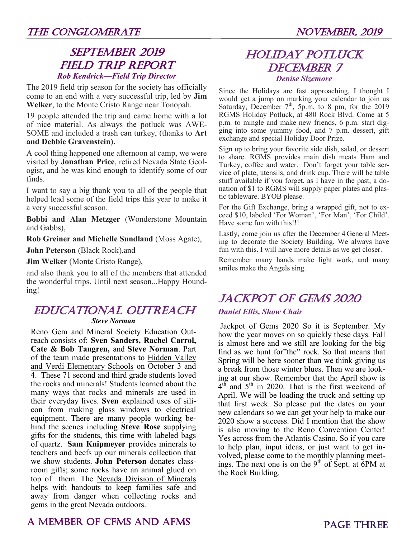## SEPTEMBER 2019 field trip report *Rob Kendrick—Field Trip Director*

The 2019 field trip season for the society has officially come to an end with a very successful trip, led by **Jim Welker**, to the Monte Cristo Range near Tonopah.

19 people attended the trip and came home with a lot of nice material. As always the potluck was AWE-SOME and included a trash can turkey, (thanks to **Art and Debbie Gravenstein).**

A cool thing happened one afternoon at camp, we were visited by **Jonathan Price**, retired Nevada State Geologist, and he was kind enough to identify some of our finds.

I want to say a big thank you to all of the people that helped lead some of the field trips this year to make it a very successful season.

**Bobbi and Alan Metzger** (Wonderstone Mountain and Gabbs),

**Rob Greiner and Michelle Sundland** (Moss Agate),

**John Peterson** (Black Rock),and

**Jim Welker** (Monte Cristo Range),

and also thank you to all of the members that attended the wonderful trips. Until next season...Happy Hounding!

#### Educational outreach *Steve Norman*

Reno Gem and Mineral Society Education Outreach consists of: **Sven Sanders, Rachel Carrol, Cate & Bob Tangren,** and **Steve Norman**. Part of the team made presentations to Hidden Valley and Verdi Elementary Schools on October 3 and 4. These 71 second and third grade students loved the rocks and minerals! Students learned about the many ways that rocks and minerals are used in their everyday lives. **Sven e**xplained uses of silicon from making glass windows to electrical equipment. There are many people working behind the scenes including **Steve Rose** supplying gifts for the students, this time with labeled bags of quartz. **Sam Knipmeyer** provides minerals to teachers and beefs up our minerals collection that we show students. **John Peterson** donates classroom gifts; some rocks have an animal glued on top of them. The Nevada Division of Minerals helps with handouts to keep families safe and away from danger when collecting rocks and gems in the great Nevada outdoors.

## *Denise Sizemore* Since the Holidays are fast approaching, I thought I would get a jump on marking your calendar to join us

Saturday, December  $7<sup>th</sup>$ , 5p.m. to 8 pm, for the 2019 RGMS Holiday Potluck, at 480 Rock Blvd. Come at 5 p.m. to mingle and make new friends, 6 p.m. start digging into some yummy food, and 7 p.m. dessert, gift exchange and special Holiday Door Prize.

Holiday potluck **DECEMBER 7** 

Sign up to bring your favorite side dish, salad, or dessert to share. RGMS provides main dish meats Ham and Turkey, coffee and water. Don't forget your table service of plate, utensils, and drink cup. There will be table stuff available if you forget, as I have in the past, a donation of \$1 to RGMS will supply paper plates and plastic tableware. BYOB please.

For the Gift Exchange, bring a wrapped gift, not to exceed \$10, labeled 'For Woman', 'For Man', 'For Child'. Have some fun with this!!!

Lastly, come join us after the December 4 General Meeting to decorate the Society Building. We always have fun with this. I will have more details as we get closer.

Remember many hands make light work, and many smiles make the Angels sing.

# jackpot of gems 2020

### *Daniel Ellis, Show Chair*

Jackpot of Gems 2020 So it is September. My how the year moves on so quickly these days. Fall is almost here and we still are looking for the big find as we hunt for"the" rock. So that means that Spring will be here sooner than we think giving us a break from those winter blues. Then we are looking at our show. Remember that the April show is  $4^{\text{th}}$  and  $5^{\text{th}}$  in 2020. That is the first weekend of April. We will be loading the truck and setting up that first week. So please put the dates on your new calendars so we can get your help to make our 2020 show a success. Did I mention that the show is also moving to the Reno Convention Center! Yes across from the Atlantis Casino. So if you care to help plan, input ideas, or just want to get involved, please come to the monthly planning meetings. The next one is on the  $9<sup>th</sup>$  of Sept. at 6PM at the Rock Building.

# A MEMBER OF CFMS AND AFMS PAGE THREE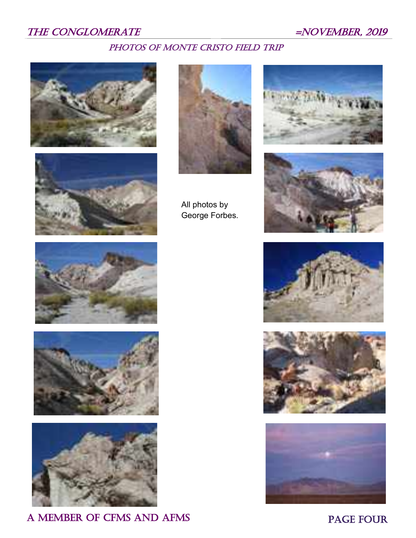## THE CONGLOMERATE  $=NOVEMBER$ , 2019

## PHOTOS OF MONTE CRISTO FIELD TRIP







All photos by George Forbes.











A MEMBER OF CFMS AND AFMS PAGE FOUR





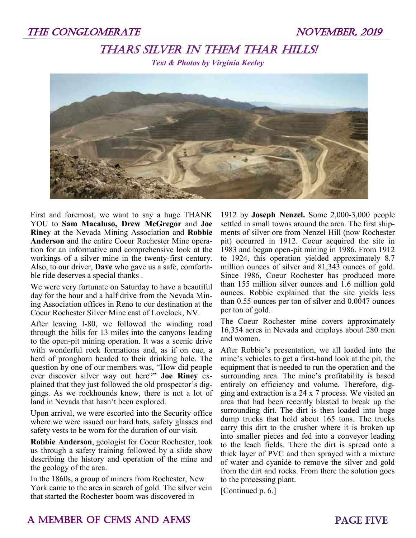## Thars Silver in Them Thar Hills!

*Text & Photos by Virginia Keeley*



First and foremost, we want to say a huge THANK YOU to **Sam Macaluso, Drew McGregor** and **Joe Riney** at the Nevada Mining Association and **Robbie Anderson** and the entire Coeur Rochester Mine operation for an informative and comprehensive look at the workings of a silver mine in the twenty-first century. Also, to our driver, **Dave** who gave us a safe, comfortable ride deserves a special thanks .

We were very fortunate on Saturday to have a beautiful day for the hour and a half drive from the Nevada Mining Association offices in Reno to our destination at the Coeur Rochester Silver Mine east of Lovelock, NV.

After leaving I-80, we followed the winding road through the hills for 13 miles into the canyons leading to the open-pit mining operation. It was a scenic drive with wonderful rock formations and, as if on cue, a herd of pronghorn headed to their drinking hole. The question by one of our members was, "How did people ever discover silver way out here?" **Joe Riney** explained that they just followed the old prospector's diggings. As we rockhounds know, there is not a lot of land in Nevada that hasn't been explored.

Upon arrival, we were escorted into the Security office where we were issued our hard hats, safety glasses and safety vests to be worn for the duration of our visit.

**Robbie Anderson**, geologist for Coeur Rochester, took us through a safety training followed by a slide show describing the history and operation of the mine and the geology of the area.

In the 1860s, a group of miners from Rochester, New York came to the area in search of gold. The silver vein that started the Rochester boom was discovered in

1912 by **Joseph Nenzel.** Some 2,000-3,000 people settled in small towns around the area. The first shipments of silver ore from Nenzel Hill (now Rochester pit) occurred in 1912. Coeur acquired the site in 1983 and began open-pit mining in 1986. From 1912 to 1924, this operation yielded approximately 8.7 million ounces of silver and 81,343 ounces of gold. Since 1986, Coeur Rochester has produced more than 155 million silver ounces and 1.6 million gold ounces. Robbie explained that the site yields less than 0.55 ounces per ton of silver and 0.0047 ounces per ton of gold.

The Coeur Rochester mine covers approximately 16,354 acres in Nevada and employs about 280 men and women.

After Robbie's presentation, we all loaded into the mine's vehicles to get a first-hand look at the pit, the equipment that is needed to run the operation and the surrounding area. The mine's profitability is based entirely on efficiency and volume. Therefore, digging and extraction is a 24 x 7 process. We visited an area that had been recently blasted to break up the surrounding dirt. The dirt is then loaded into huge dump trucks that hold about 165 tons. The trucks carry this dirt to the crusher where it is broken up into smaller pieces and fed into a conveyor leading to the leach fields. There the dirt is spread onto a thick layer of PVC and then sprayed with a mixture of water and cyanide to remove the silver and gold from the dirt and rocks. From there the solution goes to the processing plant.

[Continued p. 6.]

## A MEMBER OF CFMS AND AFMS **PAGE FIVE**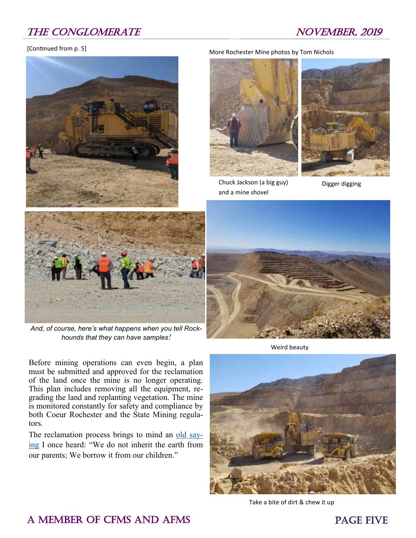## THE CONGLOMERATE NOVEMBER, 2019

#### [Continued from p. 5]





*And, of course, here's what happens when you tell Rockhounds that they can have samples!*

Before mining operations can even begin, a plan must be submitted and approved for the reclamation of the land once the mine is no longer operating. This plan includes removing all the equipment, regrading the land and replanting vegetation. The mine is monitored constantly for safety and compliance by both Coeur Rochester and the State Mining regulators.

The reclamation process brings to mind an [old say](https://quoteinvestigator.com/2013/01/22/borrow-earth/)[ing](https://quoteinvestigator.com/2013/01/22/borrow-earth/) I once heard: "We do not inherit the earth from our parents; We borrow it from our children."

More Rochester Mine photos by Tom Nichols



Chuck Jackson (a big guy) and a mine shovel



Digger digging



Weird beauty



Take a bite of dirt & chew it up

## A MEMBER OF CFMS AND AFMS **PAGE FIVE**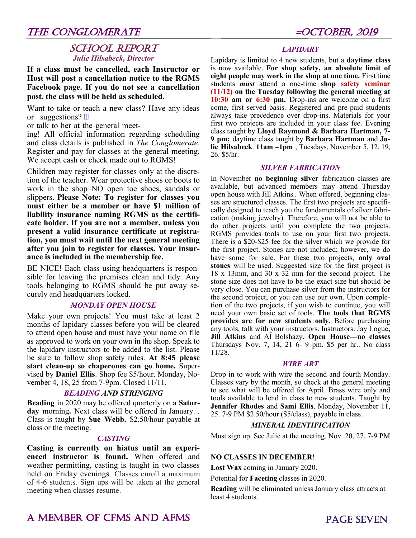### THE CONGLOMERATE  $=$  OCTOBER, 2019

#### SCHOOL REPORT *Julie Hilsabeck, Director*

**If a class must be cancelled, each Instructor or Host will post a cancellation notice to the RGMS Facebook page. If you do not see a cancellation post, the class will be held as scheduled.**

Want to take or teach a new class? Have any ideas or suggestions? ""

or talk to her at the general meet-

ing! All official information regarding scheduling and class details is published in *The Conglomerate*. Register and pay for classes at the general meeting. We accept cash or check made out to RGMS!

Children may register for classes only at the discretion of the teacher. Wear protective shoes or boots to work in the shop–NO open toe shoes, sandals or slippers. **Please Note: To register for classes you must either be a member or have \$1 million of liability insurance naming RGMS as the certificate holder. If you are not a member, unless you present a valid insurance certificate at registration, you must wait until the next general meeting after you join to register for classes. Your insurance is included in the membership fee.** 

BE NICE! Each class using headquarters is responsible for leaving the premises clean and tidy. Any tools belonging to RGMS should be put away securely and headquarters locked.

#### *MONDAY OPEN HOUSE*

Make your own projects! You must take at least 2 months of lapidary classes before you will be cleared to attend open house and must have your name on file as approved to work on your own in the shop. Speak to the lapidary instructors to be added to the list. Please be sure to follow shop safety rules. **At 8:45 please start clean-up so chaperones can go home.** Supervised by **Daniel Ellis**. Shop fee \$5/hour. Monday, November 4, 18, 25 from 7-9pm. Closed 11/11.

#### *BEADING AND STRINGING*

**Beading** in 2020 may be offered quarterly on a **Saturday** morning**.** Next class will be offered in January. . Class is taught by **Sue Webb.** \$2.50/hour payable at class or the meeting.

#### *CASTING*

**Casting is currently on hiatus until an experienced instructor is found.** When offered and weather permitting, casting is taught in two classes held on Friday evenings. Classes enroll a maximum of 4-6 students. Sign ups will be taken at the general meeting when classes resume.

#### *LAPIDARY*

Lapidary is limited to 4 new students, but a **daytime class** is now available. **For shop safety, an absolute limit of eight people may work in the shop at one time.** First time students *must* attend a one-time **shop safety seminar (11/12) on the Tuesday following the general meeting at 10:30 am or 6:30 pm.** Drop-ins are welcome on a first come, first served basis. Registered and pre-paid students always take precedence over drop-ins. Materials for your first two projects are included in your class fee. Evening class taught by **Lloyd Raymond & Barbara Hartman, 7- 9 pm;** daytime class taught by **Barbara Hartman** and **Julie Hilsabeck**. **11am –1pm** , Tuesdays, November 5, 12, 19, 26. \$5/hr.

#### *SILVER FABRICATION*

In November **no beginning silver** fabrication classes are available, but advanced members may attend Thursday open house with Jill Atkins.. When offered, beginning classes are structured classes. The first two projects are specifically designed to teach you the fundamentals of silver fabrication (making jewelry). Therefore, you will not be able to do other projects until you complete the two projects. RGMS provides tools to use on your first two projects. There is a \$20-\$25 fee for the silver which we provide for the first project. Stones are not included; however, we do have some for sale. For these two projects, **only oval stones** will be used. Suggested size for the first project is 18 x 13mm, and 30 x 32 mm for the second project. The stone size does not have to be the exact size but should be very close. You can purchase silver from the instructors for the second project, or you can use our own. Upon completion of the two projects, if you wish to continue, you will need your own basic set of tools. **The tools that RGMS provides are for new students only.** Before purchasing any tools, talk with your instructors. Instructors: Jay Logue**, Jill Atkins** and Al Bolshazy**. Open House—no classes**  Thursdays Nov. 7, 14, 21 6- 9 pm. \$5 per hr.. No class 11/28.

#### *WIRE ART*

Drop in to work with wire the second and fourth Monday. Classes vary by the month, so check at the general meeting to see what will be offered for April. Brass wire only and tools available to lend in class to new students. Taught by **Jennifer Rhodes** and **Sami Ellis**. Monday, November 11, 25. 7-9 PM \$2.50/hour (\$5/class), payable in class.

#### *MINERAL IDENTIFICATION*

Must sign up. See Julie at the meeting. Nov. 20, 27, 7-9 PM

#### **NO CLASSES IN DECEMBER**!

**Lost Wax** coming in January 2020.

Potential for **Faceting** classes in 2020.

**Beading** will be eliminated unless January class attracts at least 4 students.

## A MEMBER OF CFMS AND AFMS PAGE SEVEN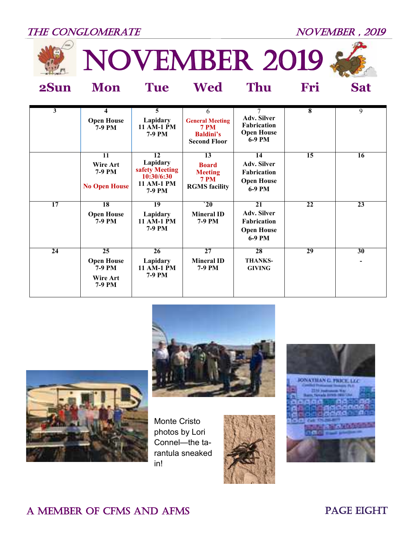## THE CONGLOMERATE NOVEMBER, 2019



NOVEMber 2019



**2Sun Mon Tue Wed Thu Fri Sat**



| $\overline{\mathbf{3}}$ | 4<br><b>Open House</b><br>7-9 PM                               | $\overline{5}$<br>Lapidary<br>11 AM-1 PM<br>7-9 PM                     | 6<br><b>General Meeting</b><br><b>7 PM</b><br><b>Baldini's</b><br><b>Second Floor</b> | $\overline{7}$<br><b>Adv. Silver</b><br><b>Fabrication</b><br><b>Open House</b><br>6-9 PM | $\overline{\bf 8}$ | $\overline{9}$                 |
|-------------------------|----------------------------------------------------------------|------------------------------------------------------------------------|---------------------------------------------------------------------------------------|-------------------------------------------------------------------------------------------|--------------------|--------------------------------|
|                         | 11<br>Wire Art<br>7-9 PM<br><b>No Open House</b>               | 12<br>Lapidary<br>safety Meeting<br>10:30/6:30<br>11 AM-1 PM<br>7-9 PM | 13<br><b>Board</b><br><b>Meeting</b><br><b>7 PM</b><br><b>RGMS</b> facility           | 14<br><b>Adv. Silver</b><br><b>Fabrication</b><br><b>Open House</b><br>6-9 PM             | $\overline{15}$    | 16                             |
| 17                      | 18<br><b>Open House</b><br>7-9 PM                              | 19<br>Lapidary<br>11 AM-1 PM<br>7-9 PM                                 | $\mathbf{20}$<br><b>Mineral ID</b><br>7-9 PM                                          | 21<br><b>Adv. Silver</b><br><b>Fabrication</b><br><b>Open House</b><br>6-9 PM             | 22                 | 23                             |
| 24                      | 25<br><b>Open House</b><br><b>7-9 PM</b><br>Wire Art<br>7-9 PM | 26<br>Lapidary<br>11 AM-1 PM<br>7-9 PM                                 | 27<br><b>Mineral ID</b><br>7-9 PM                                                     | 28<br><b>THANKS-</b><br><b>GIVING</b>                                                     | 29                 | 30<br>$\overline{\phantom{0}}$ |





Monte Cristo photos by Lori Connel—the tarantula sneaked in!





## A MEMBER OF CFMS AND AFMS PAGE EIGHT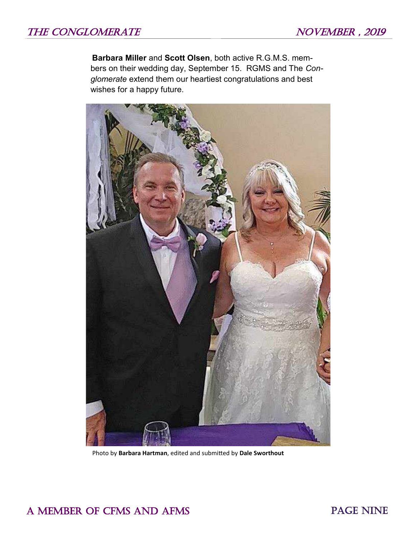**Barbara Miller** and **Scott Olsen**, both active R.G.M.S. members on their wedding day, September 15. RGMS and The *Conglomerate* extend them our heartiest congratulations and best wishes for a happy future.



Photo by **Barbara Hartman**, edited and submitted by **Dale Sworthout**

A MEMBER OF CFMS AND AFMS PAGE NINE